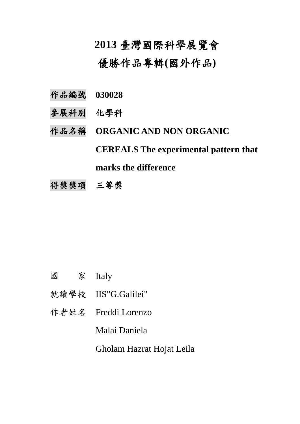# **2013** 臺灣國際科學展覽會

優勝作品專輯**(**國外作品**)**

- 作品編號 **030028**
- 參展科別 化學科
- 作品名稱 **ORGANIC AND NON ORGANIC**

**CEREALS The experimental pattern that** 

**marks the difference**

得獎獎項 三等獎

- 國 家 Italy
- 就讀學校 IIS"G.Galilei"
- 作者姓名 Freddi Lorenzo

Malai Daniela

Gholam Hazrat Hojat Leila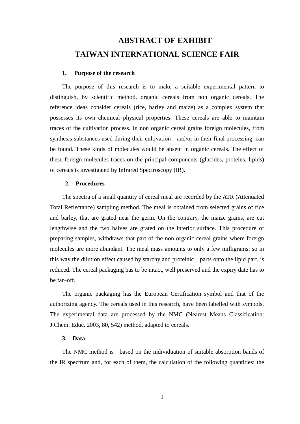# **ABSTRACT OF EXHIBIT TAIWAN INTERNATIONAL SCIENCE FAIR**

#### **1. Purpose of the research**

The purpose of this research is to make a suitable experimental pattern to distinguish, by scientific method, organic cereals from non organic cereals. The reference ideas consider cereals (rice, barley and maize) as a complex system that possesses its own chemical–physical properties. These cereals are able to maintain traces of the cultivation process. In non organic cereal grains foreign molecules, from synthesis substances used during their cultivation and/or in their final processing, can be found. These kinds of molecules would be absent in organic cereals. The effect of these foreign molecules traces on the principal components (glucides, proteins, lipids) of cereals is investigated by Infrared Spectroscopy (IR).

#### **2. Procedures**

The spectra of a small quantity of cereal meal are recorded by the ATR (Attenuated Total Reflectance) sampling method. The meal is obtained from selected grains of rice and barley, that are grated near the germ. On the contrary, the maize grains, are cut lengthwise and the two halves are grated on the interior surface. This procedure of preparing samples, withdraws that part of the non organic cereal grains where foreign molecules are more abundant. The meal mass amounts to only a few milligrams; so in this way the dilution effect caused by starchy and proteinic parts onto the lipid part, is reduced. The cereal packaging has to be intact, well preserved and the expiry date has to be far–off.

The organic packaging has the European Certification symbol and that of the authorizing agency. The cereals used in this research, have been labelled with symbols. The experimental data are processed by the NMC (Nearest Means Classification: J.Chem. Educ. 2003, 80, 542) method, adapted to cereals.

### **3. Data**

The NMC method is based on the individuation of suitable absorption bands of the IR spectrum and, for each of them, the calculation of the following quantities: the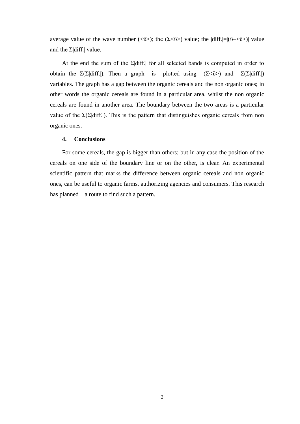average value of the wave number  $(\langle \bar{v} \rangle)$ ; the  $(\Sigma \langle \bar{v} \rangle)$  value; the  $|diff| = |(\bar{v} \langle \bar{v} \rangle)|$  value and the  $\Sigma$ |diff.| value.

At the end the sum of the  $\Sigma$ |diff.| for all selected bands is computed in order to obtain the  $\Sigma(\Sigma|\text{diff.}|)$ . Then a graph is plotted using  $(\Sigma \leq \overline{v})$  and  $\Sigma(\Sigma|\text{diff.}|)$ variables. The graph has a gap between the organic cereals and the non organic ones; in other words the organic cereals are found in a particular area, whilst the non organic cereals are found in another area. The boundary between the two areas is a particular value of the  $\Sigma(\Sigma|\text{diff.})$ . This is the pattern that distinguishes organic cereals from non organic ones.

### **4. Conclusions**

For some cereals, the gap is bigger than others; but in any case the position of the cereals on one side of the boundary line or on the other, is clear. An experimental scientific pattern that marks the difference between organic cereals and non organic ones, can be useful to organic farms, authorizing agencies and consumers. This research has planned a route to find such a pattern.